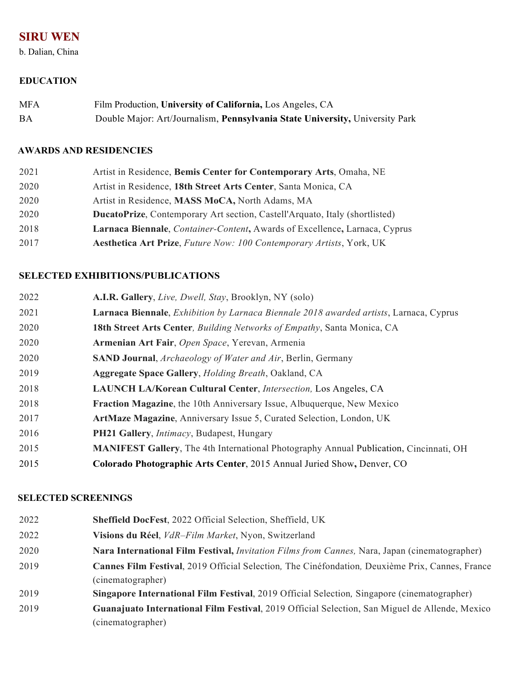# **SIRU WEN**

b. Dalian, China

## **EDUCATION**

| <b>MFA</b> | Film Production, University of California, Los Angeles, CA                   |
|------------|------------------------------------------------------------------------------|
| BA         | Double Major: Art/Journalism, Pennsylvania State University, University Park |

#### **AWARDS AND RESIDENCIES**

| 2021 |  |  | Artist in Residence, Bemis Center for Contemporary Arts, Omaha, NE |  |
|------|--|--|--------------------------------------------------------------------|--|
|------|--|--|--------------------------------------------------------------------|--|

- Artist in Residence, **18th Street Arts Center**, Santa Monica, CA
- Artist in Residence, **MASS MoCA,** North Adams, MA
- **DucatoPrize**, Contemporary Art section, Castell'Arquato, Italy (shortlisted)
- **Larnaca Biennale**, *Container-Content***,** Awards of Excellence**,** Larnaca, Cyprus
- **Aesthetica Art Prize**, *Future Now: 100 Contemporary Artists*, York, UK

# **SELECTED EXHIBITIONS/PUBLICATIONS**

- **A.I.R. Gallery**, *Live, Dwell, Stay*, Brooklyn, NY (solo)
- **Larnaca Biennale**, *Exhibition by Larnaca Biennale 2018 awarded artists*, Larnaca, Cyprus
- **18th Street Arts Center***, Building Networks of Empathy*, Santa Monica, CA
- **Armenian Art Fair**, *Open Space*, Yerevan, Armenia
- **SAND Journal**, *Archaeology of Water and Air*, Berlin, Germany
- **Aggregate Space Gallery**, *Holding Breath*, Oakland, CA
- **LAUNCH LA/Korean Cultural Center**, *Intersection,* Los Angeles, CA
- **Fraction Magazine**, the 10th Anniversary Issue, Albuquerque, New Mexico
- **ArtMaze Magazine**, Anniversary Issue 5, Curated Selection, London, UK
- **PH21 Gallery**, *Intimacy*, Budapest, Hungary
- **MANIFEST Gallery**, The 4th International Photography Annual Publication, Cincinnati, OH
- **Colorado Photographic Arts Center**, 2015 Annual Juried Show**,** Denver, CO

## **SELECTED SCREENINGS**

| 2022 | <b>Sheffield DocFest, 2022 Official Selection, Sheffield, UK</b>                                |
|------|-------------------------------------------------------------------------------------------------|
| 2022 | Visions du Réel, VdR-Film Market, Nyon, Switzerland                                             |
| 2020 | Nara International Film Festival, Invitation Films from Cannes, Nara, Japan (cinematographer)   |
| 2019 | Cannes Film Festival, 2019 Official Selection, The Cinéfondation, Deuxième Prix, Cannes, France |
|      | (cinematographer)                                                                               |
| 2019 | Singapore International Film Festival, 2019 Official Selection, Singapore (cinematographer)     |
| 2019 | Guanajuato International Film Festival, 2019 Official Selection, San Miguel de Allende, Mexico  |
|      | (cinematographer)                                                                               |